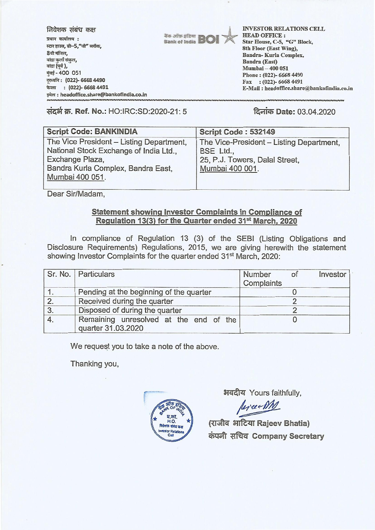| निवेशक संबंध कक्ष<br>प्रधान कार्यालय :<br>स्टार हाउस, सी-5,"जी" ब्लॉक,<br>8वी मंजिल,<br>बांद्रा कुर्ला संकुल,<br>बांद्रा (पूर्व ),<br>मुंबई-400 051<br>दूरध्वनि: (022)- 6668 4490<br>$: (022)$ - 6668 4491<br>फेक्स | <b>The orien of BOI</b> | <b>INVESTOR RELATIONS CELL</b><br><b>HEAD OFFICE:</b><br>Star House, C-5, "G" Block,<br>8th Floor (East Wing),<br>Bandra-Kurla Complex,<br>Bandra (East)<br>Mumbai - 400 051<br>Phone: (022)-6668 4490<br>$\text{Fax}$ : (022)-6668 4491<br>E-Mail: headoffice.share@bankofindia.co.in |
|---------------------------------------------------------------------------------------------------------------------------------------------------------------------------------------------------------------------|-------------------------|----------------------------------------------------------------------------------------------------------------------------------------------------------------------------------------------------------------------------------------------------------------------------------------|
| इमेल: headoffice.share@bankofindia.co.in                                                                                                                                                                            |                         |                                                                                                                                                                                                                                                                                        |

**14-41 3 14-41 14-41 14-41 14-41 14-41 14-41 14-41 14-41 14-41 14-41 14-41 14-41 14-41 14-41 14-41** 14-41 14-41 14-41 14-41 14-41 14-41 14-41 14-41 14-41 14-41 14-41 14-41 14-41 14-41 14-41 14-41 14-41 14-41 14-41 14-41 1

| <b>Script Code: BANKINDIA</b>            | Script Code: 532149                      |
|------------------------------------------|------------------------------------------|
| The Vice President - Listing Department, | The Vice-President - Listing Department, |
| National Stock Exchange of India Ltd.,   | BSE Ltd.,                                |
| Exchange Plaza,                          | 25, P.J. Towers, Dalal Street,           |
| Bandra Kurla Complex, Bandra East,       | Mumbai 400 001.                          |
| Mumbai 400 051.                          |                                          |
|                                          |                                          |

Dear Sir/Madam,

## **Statement showing Investor Complaints in Compliance of Regulation 13(3) for the Quarter ended 31st March, 2020**

In compliance of Regulation 13 (3) of the SEBI (Listing Obligations and Disclosure Requirements) Regulations, 2015, we are giving herewith the statement showing Investor Complaints for the quarter ended 31<sup>st</sup> March, 2020:

|    | Sr. No.   Particulars                                        | Number<br>Investor<br>of<br>Complaints |
|----|--------------------------------------------------------------|----------------------------------------|
|    | Pending at the beginning of the quarter                      |                                        |
| 2  | Received during the quarter                                  |                                        |
| 3. | Disposed of during the quarter                               |                                        |
|    | Remaining unresolved at the end of the<br>quarter 31.03.2020 |                                        |

We request you to take a note of the above.

Thanking you,



अवदीय Yours faithfully,

Revise MM

**(mac Rajeev Bhatia) ci)(4441 taci Company Secretary**